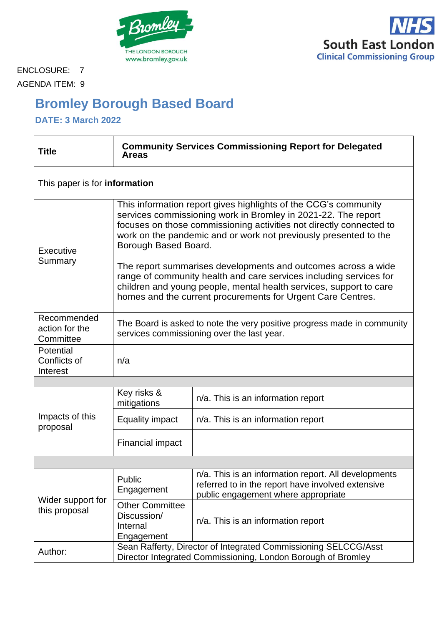



ENCLOSURE: 7 AGENDA ITEM: 9

# **Bromley Borough Based Board**

**DATE: 3 March 2022**

| <b>Title</b>                               | <b>Community Services Commissioning Report for Delegated</b><br><b>Areas</b>                                                                                                                                                                                                                                                                                                                                                                                                                                                                                                    |                                                                                                                                                  |  |
|--------------------------------------------|---------------------------------------------------------------------------------------------------------------------------------------------------------------------------------------------------------------------------------------------------------------------------------------------------------------------------------------------------------------------------------------------------------------------------------------------------------------------------------------------------------------------------------------------------------------------------------|--------------------------------------------------------------------------------------------------------------------------------------------------|--|
| This paper is for information              |                                                                                                                                                                                                                                                                                                                                                                                                                                                                                                                                                                                 |                                                                                                                                                  |  |
| Executive<br>Summary                       | This information report gives highlights of the CCG's community<br>services commissioning work in Bromley in 2021-22. The report<br>focuses on those commissioning activities not directly connected to<br>work on the pandemic and or work not previously presented to the<br>Borough Based Board.<br>The report summarises developments and outcomes across a wide<br>range of community health and care services including services for<br>children and young people, mental health services, support to care<br>homes and the current procurements for Urgent Care Centres. |                                                                                                                                                  |  |
| Recommended<br>action for the<br>Committee | The Board is asked to note the very positive progress made in community<br>services commissioning over the last year.                                                                                                                                                                                                                                                                                                                                                                                                                                                           |                                                                                                                                                  |  |
| Potential<br>Conflicts of<br>Interest      | n/a                                                                                                                                                                                                                                                                                                                                                                                                                                                                                                                                                                             |                                                                                                                                                  |  |
|                                            |                                                                                                                                                                                                                                                                                                                                                                                                                                                                                                                                                                                 |                                                                                                                                                  |  |
| Impacts of this<br>proposal                | Key risks &<br>mitigations                                                                                                                                                                                                                                                                                                                                                                                                                                                                                                                                                      | n/a. This is an information report                                                                                                               |  |
|                                            | <b>Equality impact</b>                                                                                                                                                                                                                                                                                                                                                                                                                                                                                                                                                          | n/a. This is an information report                                                                                                               |  |
|                                            | <b>Financial impact</b>                                                                                                                                                                                                                                                                                                                                                                                                                                                                                                                                                         |                                                                                                                                                  |  |
|                                            |                                                                                                                                                                                                                                                                                                                                                                                                                                                                                                                                                                                 |                                                                                                                                                  |  |
| Wider support for<br>this proposal         | Public<br>Engagement                                                                                                                                                                                                                                                                                                                                                                                                                                                                                                                                                            | n/a. This is an information report. All developments<br>referred to in the report have involved extensive<br>public engagement where appropriate |  |
|                                            | <b>Other Committee</b><br>Discussion/<br>Internal<br>Engagement                                                                                                                                                                                                                                                                                                                                                                                                                                                                                                                 | n/a. This is an information report                                                                                                               |  |
| Author:                                    | Sean Rafferty, Director of Integrated Commissioning SELCCG/Asst<br>Director Integrated Commissioning, London Borough of Bromley                                                                                                                                                                                                                                                                                                                                                                                                                                                 |                                                                                                                                                  |  |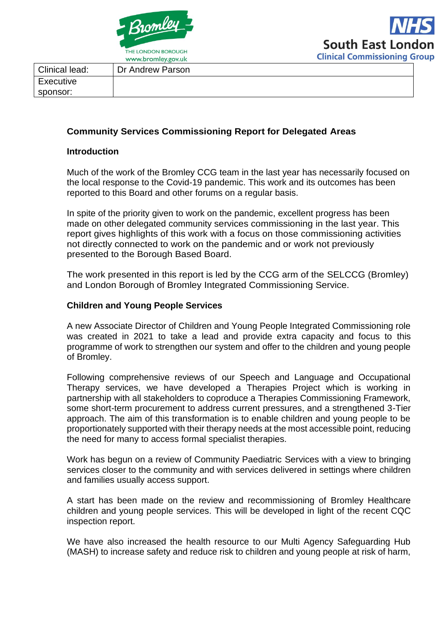

| Clinical lead: | Dr Andrew Parson |
|----------------|------------------|
| Executive      |                  |
| sponsor:       |                  |

# **Community Services Commissioning Report for Delegated Areas**

#### **Introduction**

Much of the work of the Bromley CCG team in the last year has necessarily focused on the local response to the Covid-19 pandemic. This work and its outcomes has been reported to this Board and other forums on a regular basis.

In spite of the priority given to work on the pandemic, excellent progress has been made on other delegated community services commissioning in the last year. This report gives highlights of this work with a focus on those commissioning activities not directly connected to work on the pandemic and or work not previously presented to the Borough Based Board.

The work presented in this report is led by the CCG arm of the SELCCG (Bromley) and London Borough of Bromley Integrated Commissioning Service.

#### **Children and Young People Services**

A new Associate Director of Children and Young People Integrated Commissioning role was created in 2021 to take a lead and provide extra capacity and focus to this programme of work to strengthen our system and offer to the children and young people of Bromley.

Following comprehensive reviews of our Speech and Language and Occupational Therapy services, we have developed a Therapies Project which is working in partnership with all stakeholders to coproduce a Therapies Commissioning Framework, some short-term procurement to address current pressures, and a strengthened 3-Tier approach. The aim of this transformation is to enable children and young people to be proportionately supported with their therapy needs at the most accessible point, reducing the need for many to access formal specialist therapies.

Work has begun on a review of Community Paediatric Services with a view to bringing services closer to the community and with services delivered in settings where children and families usually access support.

A start has been made on the review and recommissioning of Bromley Healthcare children and young people services. This will be developed in light of the recent CQC inspection report.

We have also increased the health resource to our Multi Agency Safeguarding Hub (MASH) to increase safety and reduce risk to children and young people at risk of harm,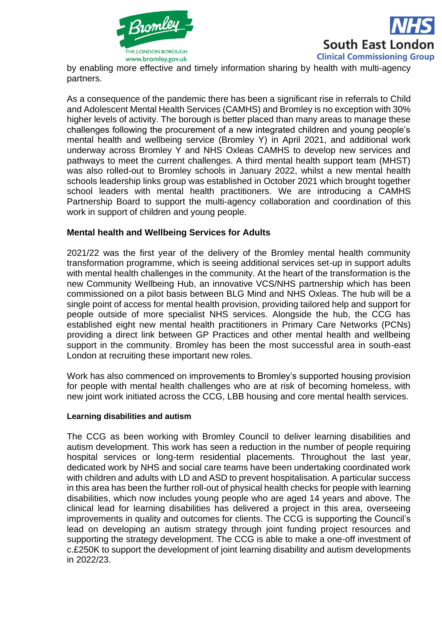

**South East London Clinical Commissioning Group** 

by enabling more effective and timely information sharing by health with multi-agency partners.

As a consequence of the pandemic there has been a significant rise in referrals to Child and Adolescent Mental Health Services (CAMHS) and Bromley is no exception with 30% higher levels of activity. The borough is better placed than many areas to manage these challenges following the procurement of a new integrated children and young people's mental health and wellbeing service (Bromley Y) in April 2021, and additional work underway across Bromley Y and NHS Oxleas CAMHS to develop new services and pathways to meet the current challenges. A third mental health support team (MHST) was also rolled-out to Bromley schools in January 2022, whilst a new mental health schools leadership links group was established in October 2021 which brought together school leaders with mental health practitioners. We are introducing a CAMHS Partnership Board to support the multi-agency collaboration and coordination of this work in support of children and young people.

## **Mental health and Wellbeing Services for Adults**

2021/22 was the first year of the delivery of the Bromley mental health community transformation programme, which is seeing additional services set-up in support adults with mental health challenges in the community. At the heart of the transformation is the new Community Wellbeing Hub, an innovative VCS/NHS partnership which has been commissioned on a pilot basis between BLG Mind and NHS Oxleas. The hub will be a single point of access for mental health provision, providing tailored help and support for people outside of more specialist NHS services. Alongside the hub, the CCG has established eight new mental health practitioners in Primary Care Networks (PCNs) providing a direct link between GP Practices and other mental health and wellbeing support in the community. Bromley has been the most successful area in south-east London at recruiting these important new roles.

Work has also commenced on improvements to Bromley's supported housing provision for people with mental health challenges who are at risk of becoming homeless, with new joint work initiated across the CCG, LBB housing and core mental health services.

#### **Learning disabilities and autism**

The CCG as been working with Bromley Council to deliver learning disabilities and autism development. This work has seen a reduction in the number of people requiring hospital services or long-term residential placements. Throughout the last year, dedicated work by NHS and social care teams have been undertaking coordinated work with children and adults with LD and ASD to prevent hospitalisation. A particular success in this area has been the further roll-out of physical health checks for people with learning disabilities, which now includes young people who are aged 14 years and above. The clinical lead for learning disabilities has delivered a project in this area, overseeing improvements in quality and outcomes for clients. The CCG is supporting the Council's lead on developing an autism strategy through joint funding project resources and supporting the strategy development. The CCG is able to make a one-off investment of c.£250K to support the development of joint learning disability and autism developments in 2022/23.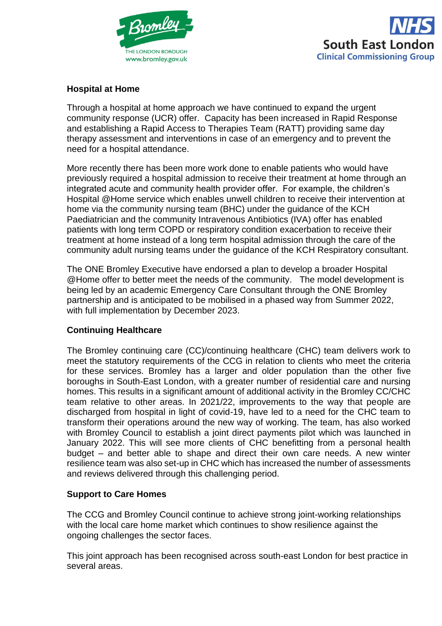



## **Hospital at Home**

Through a hospital at home approach we have continued to expand the urgent community response (UCR) offer. Capacity has been increased in Rapid Response and establishing a Rapid Access to Therapies Team (RATT) providing same day therapy assessment and interventions in case of an emergency and to prevent the need for a hospital attendance.

More recently there has been more work done to enable patients who would have previously required a hospital admission to receive their treatment at home through an integrated acute and community health provider offer. For example, the children's Hospital @Home service which enables unwell children to receive their intervention at home via the community nursing team (BHC) under the guidance of the KCH Paediatrician and the community Intravenous Antibiotics (IVA) offer has enabled patients with long term COPD or respiratory condition exacerbation to receive their treatment at home instead of a long term hospital admission through the care of the community adult nursing teams under the guidance of the KCH Respiratory consultant.

The ONE Bromley Executive have endorsed a plan to develop a broader Hospital @Home offer to better meet the needs of the community. The model development is being led by an academic Emergency Care Consultant through the ONE Bromley partnership and is anticipated to be mobilised in a phased way from Summer 2022, with full implementation by December 2023.

## **Continuing Healthcare**

The Bromley continuing care (CC)/continuing healthcare (CHC) team delivers work to meet the statutory requirements of the CCG in relation to clients who meet the criteria for these services. Bromley has a larger and older population than the other five boroughs in South-East London, with a greater number of residential care and nursing homes. This results in a significant amount of additional activity in the Bromley CC/CHC team relative to other areas. In 2021/22, improvements to the way that people are discharged from hospital in light of covid-19, have led to a need for the CHC team to transform their operations around the new way of working. The team, has also worked with Bromley Council to establish a joint direct payments pilot which was launched in January 2022. This will see more clients of CHC benefitting from a personal health budget – and better able to shape and direct their own care needs. A new winter resilience team was also set-up in CHC which has increased the number of assessments and reviews delivered through this challenging period.

## **Support to Care Homes**

The CCG and Bromley Council continue to achieve strong joint-working relationships with the local care home market which continues to show resilience against the ongoing challenges the sector faces.

This joint approach has been recognised across south-east London for best practice in several areas.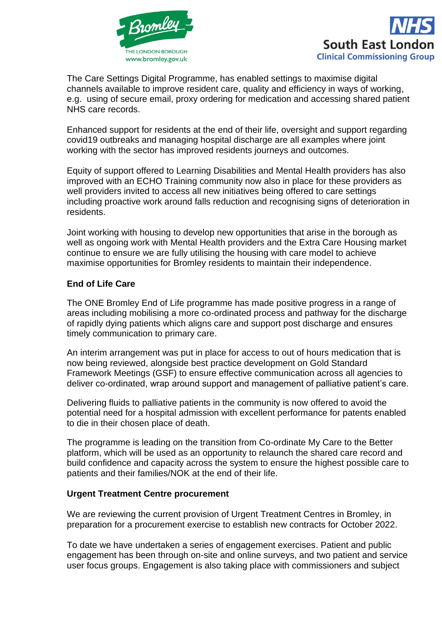



The Care Settings Digital Programme, has enabled settings to maximise digital channels available to improve resident care, quality and efficiency in ways of working, e.g. using of secure email, proxy ordering for medication and accessing shared patient NHS care records.

Enhanced support for residents at the end of their life, oversight and support regarding covid19 outbreaks and managing hospital discharge are all examples where joint working with the sector has improved residents journeys and outcomes.

Equity of support offered to Learning Disabilities and Mental Health providers has also improved with an ECHO Training community now also in place for these providers as well providers invited to access all new initiatives being offered to care settings including proactive work around falls reduction and recognising signs of deterioration in residents.

Joint working with housing to develop new opportunities that arise in the borough as well as ongoing work with Mental Health providers and the Extra Care Housing market continue to ensure we are fully utilising the housing with care model to achieve maximise opportunities for Bromley residents to maintain their independence.

# **End of Life Care**

The ONE Bromley End of Life programme has made positive progress in a range of areas including mobilising a more co-ordinated process and pathway for the discharge of rapidly dying patients which aligns care and support post discharge and ensures timely communication to primary care.

An interim arrangement was put in place for access to out of hours medication that is now being reviewed, alongside best practice development on Gold Standard Framework Meetings (GSF) to ensure effective communication across all agencies to deliver co-ordinated, wrap around support and management of palliative patient's care.

Delivering fluids to palliative patients in the community is now offered to avoid the potential need for a hospital admission with excellent performance for patents enabled to die in their chosen place of death.

The programme is leading on the transition from Co-ordinate My Care to the Better platform, which will be used as an opportunity to relaunch the shared care record and build confidence and capacity across the system to ensure the highest possible care to patients and their families/NOK at the end of their life.

## **Urgent Treatment Centre procurement**

We are reviewing the current provision of Urgent Treatment Centres in Bromley, in preparation for a procurement exercise to establish new contracts for October 2022.

To date we have undertaken a series of engagement exercises. Patient and public engagement has been through on-site and online surveys, and two patient and service user focus groups. Engagement is also taking place with commissioners and subject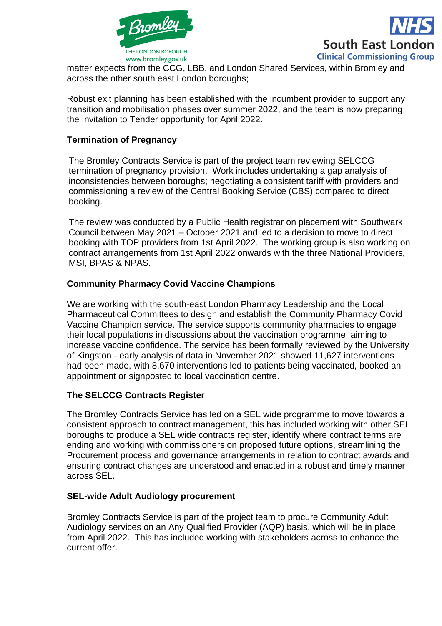



matter expects from the CCG, LBB, and London Shared Services, within Bromley and across the other south east London boroughs;

Robust exit planning has been established with the incumbent provider to support any transition and mobilisation phases over summer 2022, and the team is now preparing the Invitation to Tender opportunity for April 2022.

# **Termination of Pregnancy**

The Bromley Contracts Service is part of the project team reviewing SELCCG termination of pregnancy provision. Work includes undertaking a gap analysis of inconsistencies between boroughs; negotiating a consistent tariff with providers and commissioning a review of the Central Booking Service (CBS) compared to direct booking.

The review was conducted by a Public Health registrar on placement with Southwark Council between May 2021 – October 2021 and led to a decision to move to direct booking with TOP providers from 1st April 2022. The working group is also working on contract arrangements from 1st April 2022 onwards with the three National Providers, MSI, BPAS & NPAS.

# **Community Pharmacy Covid Vaccine Champions**

We are working with the south-east London Pharmacy Leadership and the Local Pharmaceutical Committees to design and establish the Community Pharmacy Covid Vaccine Champion service. The service supports community pharmacies to engage their local populations in discussions about the vaccination programme, aiming to increase vaccine confidence. The service has been formally reviewed by the University of Kingston - early analysis of data in November 2021 showed 11,627 interventions had been made, with 8,670 interventions led to patients being vaccinated, booked an appointment or signposted to local vaccination centre.

## **The SELCCG Contracts Register**

The Bromley Contracts Service has led on a SEL wide programme to move towards a consistent approach to contract management, this has included working with other SEL boroughs to produce a SEL wide contracts register, identify where contract terms are ending and working with commissioners on proposed future options, streamlining the Procurement process and governance arrangements in relation to contract awards and ensuring contract changes are understood and enacted in a robust and timely manner across SEL.

## **SEL-wide Adult Audiology procurement**

Bromley Contracts Service is part of the project team to procure Community Adult Audiology services on an Any Qualified Provider (AQP) basis, which will be in place from April 2022. This has included working with stakeholders across to enhance the current offer.